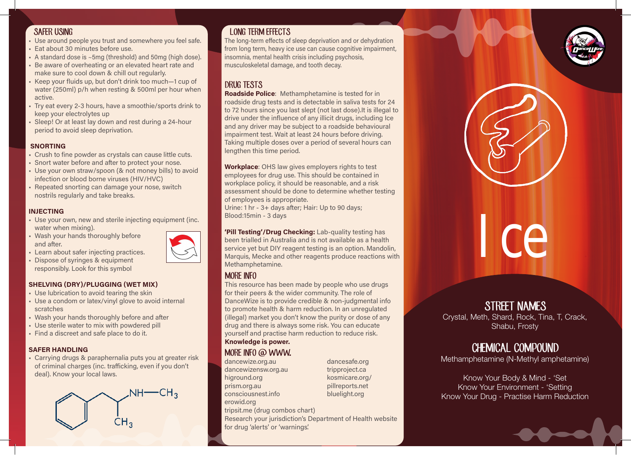#### SAFER USING

- Use around people you trust and somewhere you feel safe.
- Eat about 30 minutes before use.
- A standard dose is ~5mg (threshold) and 50mg (high dose).
- Be aware of overheating or an elevated heart rate and make sure to cool down & chill out regularly.
- Keep your fluids up, but don't drink too much—1 cup of water (250ml) p/h when resting & 500ml per hour when active.
- Try eat every 2-3 hours, have a smoothie/sports drink to keep your electrolytes up
- Sleep! Or at least lay down and rest during a 24-hour period to avoid sleep deprivation.

#### SNORTING

- Crush to fine powder as crystals can cause little cuts.
- Snort water before and after to protect your nose.
- Use your own straw/spoon (& not money bills) to avoid infection or blood borne viruses (HIV/HVC)
- Repeated snorting can damage your nose, switch nostrils regularly and take breaks.

#### INJECTING

- Use your own, new and sterile injecting equipment (inc. water when mixing).
- Wash your hands thoroughly before and after.
- Learn about safer injecting practices.
- Dispose of syringes & equipment responsibly. Look for this symbol

#### SHELVING (DRY)/PLUGGING (WET MIX)

- Use lubrication to avoid tearing the skin
- Use a condom or latex/vinyl glove to avoid internal scratches
- Wash your hands thoroughly before and after
- Use sterile water to mix with powdered pill
- Find a discreet and safe place to do it.

#### SAFER HANDLING

• Carrying drugs & paraphernalia puts you at greater risk of criminal charges (inc. trafficking, even if you don't deal). Know your local laws.



# LONG TERM EFFECTS

The long-term effects of sleep deprivation and or dehydration from long term, heavy ice use can cause cognitive impairment, insomnia, mental health crisis including psychosis, musculoskeletal damage, and tooth decay.

# DRUG TESTS

**Roadside Police:** Methamphetamine is tested for in roadside drug tests and is detectable in saliva tests for 24 to 72 hours since you last slept (not last dose).It is illegal to drive under the influence of any illicit drugs, including Ice and any driver may be subject to a roadside behavioural impairment test. Wait at least 24 hours before driving. Taking multiple doses over a period of several hours can lengthen this time period.

Workplace: OHS law gives employers rights to test employees for drug use. This should be contained in workplace policy, it should be reasonable, and a risk assessment should be done to determine whether testing of employees is appropriate.

Urine: 1 hr - 3+ days after; Hair: Up to 90 days; Blood:15min - 3 days

'Pill Testing'/Drug Checking: Lab-quality testing has been trialled in Australia and is not available as a health service yet but DIY reagent testing is an option. Mandolin, Marquis, Mecke and other reagents produce reactions with Methamphetamine.

## MORE INFO

This resource has been made by people who use drugs for their peers & the wider community. The role of DanceWize is to provide credible & non-judgmental info to promote health & harm reduction. In an unregulated (illegal) market you don't know the purity or dose of any drug and there is always some risk. You can educate yourself and practise harm reduction to reduce risk. Knowledge is power.

## MORE INFO @ WWW.

dancewize.org.au dancewizensw.org.au higround.org prism.org.au consciousnest.info erowid.org tripsit.me (drug combos chart)

dancesafe.org tripproject.ca kosmicare.org/ pillreports.net bluelight.org

Research your jurisdiction's Department of Health website for drug 'alerts' or 'warnings'.

# Ice

# STREET NAMES

Crystal, Meth, Shard, Rock, Tina, T, Crack, Shabu, Frosty

# CHEMICAL COMPOUND

Methamphetamine (N-Methyl amphetamine)

Know Your Body & Mind - 'Set Know Your Environment - 'Setting Know Your Drug - Practise Harm Reduction